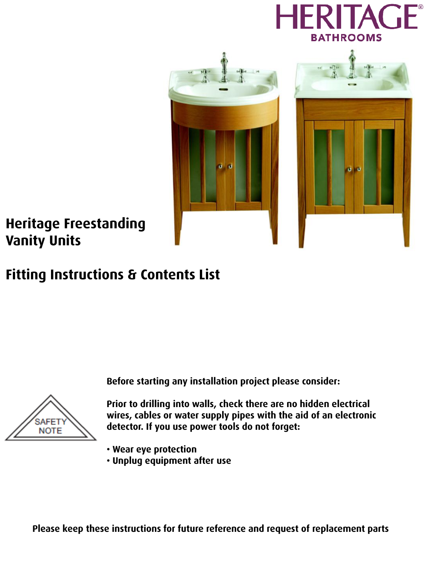



## **Heritage Freestanding Vanity Units**

## **Fitting Instructions & Contents List**

**Before starting any installation project please consider:**



**Prior to drilling into walls, check there are no hidden electrical wires, cables or water supply pipes with the aid of an electronic detector. If you use power tools do not forget:**

- **Wear eye protection**
- **Unplug equipment after use**

**Please keep these instructions for future reference and request of replacement parts**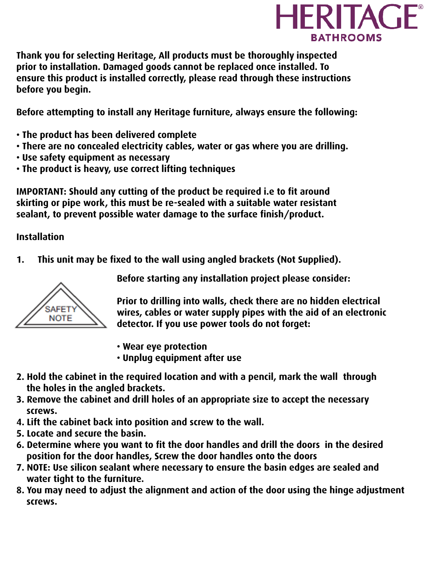

**Thank you for selecting Heritage, All products must be thoroughly inspected prior to installation. Damaged goods cannot be replaced once installed. To ensure this product is installed correctly, please read through these instructions before you begin.** 

**Before attempting to install any Heritage furniture, always ensure the following:**

- **The product has been delivered complete**
- **There are no concealed electricity cables, water or gas where you are drilling.**
- **Use safety equipment as necessary**
- **The product is heavy, use correct lifting techniques**

**IMPORTANT: Should any cutting of the product be required i.e to fit around skirting or pipe work, this must be re-sealed with a suitable water resistant sealant, to prevent possible water damage to the surface finish/product.**

## **Installation**

**1. This unit may be fixed to the wall using angled brackets (Not Supplied).**



**Before starting any installation project please consider:**

**Prior to drilling into walls, check there are no hidden electrical wires, cables or water supply pipes with the aid of an electronic detector. If you use power tools do not forget:**

- **Wear eye protection**
- **Unplug equipment after use**
- **2. Hold the cabinet in the required location and with a pencil, mark the wall through the holes in the angled brackets.**
- **3. Remove the cabinet and drill holes of an appropriate size to accept the necessary screws.**
- **4. Lift the cabinet back into position and screw to the wall.**
- **5. Locate and secure the basin.**
- **6. Determine where you want to fit the door handles and drill the doors in the desired position for the door handles, Screw the door handles onto the doors**
- **7. NOTE: Use silicon sealant where necessary to ensure the basin edges are sealed and water tight to the furniture.**
- **8. You may need to adjust the alignment and action of the door using the hinge adjustment screws.**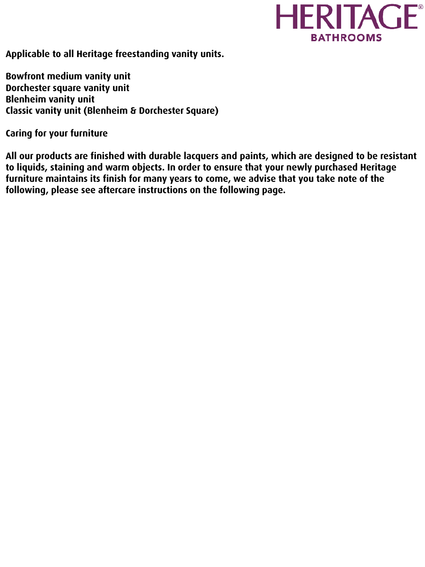

**Applicable to all Heritage freestanding vanity units.**

**Bowfront medium vanity unit Dorchester square vanity unit Blenheim vanity unit Classic vanity unit (Blenheim & Dorchester Square)**

**Caring for your furniture**

**All our products are finished with durable lacquers and paints, which are designed to be resistant to liquids, staining and warm objects. In order to ensure that your newly purchased Heritage furniture maintains its finish for many years to come, we advise that you take note of the following, please see aftercare instructions on the following page.**